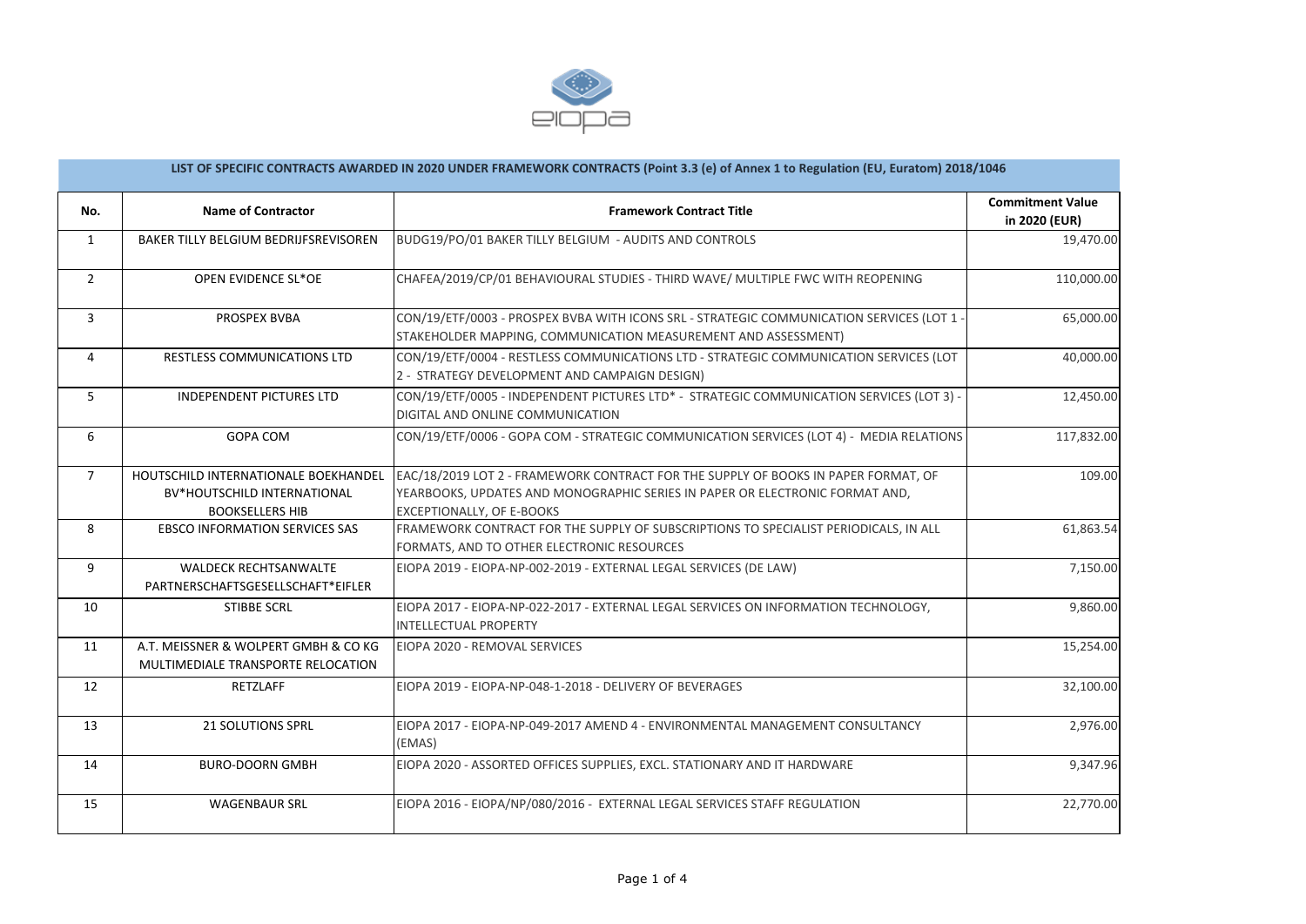

| LIST OF SPECIFIC CONTRACTS AWARDED IN 2020 UNDER FRAMEWORK CONTRACTS (Point 3.3 (e) of Annex 1 to Regulation (EU, Euratom) 2018/1046 |                                                                                               |                                                                                                                                                                                                 |                                          |  |  |
|--------------------------------------------------------------------------------------------------------------------------------------|-----------------------------------------------------------------------------------------------|-------------------------------------------------------------------------------------------------------------------------------------------------------------------------------------------------|------------------------------------------|--|--|
| No.                                                                                                                                  | <b>Name of Contractor</b>                                                                     | <b>Framework Contract Title</b>                                                                                                                                                                 | <b>Commitment Value</b><br>in 2020 (EUR) |  |  |
| $\mathbf{1}$                                                                                                                         | BAKER TILLY BELGIUM BEDRIJFSREVISOREN                                                         | BUDG19/PO/01 BAKER TILLY BELGIUM - AUDITS AND CONTROLS                                                                                                                                          | 19,470.00                                |  |  |
| $\overline{2}$                                                                                                                       | OPEN EVIDENCE SL*OE                                                                           | CHAFEA/2019/CP/01 BEHAVIOURAL STUDIES - THIRD WAVE/ MULTIPLE FWC WITH REOPENING                                                                                                                 | 110,000.00                               |  |  |
| 3                                                                                                                                    | PROSPEX BVBA                                                                                  | CON/19/ETF/0003 - PROSPEX BVBA WITH ICONS SRL - STRATEGIC COMMUNICATION SERVICES (LOT 1 -<br>STAKEHOLDER MAPPING, COMMUNICATION MEASUREMENT AND ASSESSMENT)                                     | 65,000.00                                |  |  |
| $\overline{4}$                                                                                                                       | RESTLESS COMMUNICATIONS LTD                                                                   | CON/19/ETF/0004 - RESTLESS COMMUNICATIONS LTD - STRATEGIC COMMUNICATION SERVICES (LOT<br>2 - STRATEGY DEVELOPMENT AND CAMPAIGN DESIGN)                                                          | 40,000.00                                |  |  |
| 5                                                                                                                                    | <b>INDEPENDENT PICTURES LTD</b>                                                               | CON/19/ETF/0005 - INDEPENDENT PICTURES LTD* - STRATEGIC COMMUNICATION SERVICES (LOT 3) -<br>DIGITAL AND ONLINE COMMUNICATION                                                                    | 12,450.00                                |  |  |
| 6                                                                                                                                    | <b>GOPA COM</b>                                                                               | CON/19/ETF/0006 - GOPA COM - STRATEGIC COMMUNICATION SERVICES (LOT 4) - MEDIA RELATIONS                                                                                                         | 117,832.00                               |  |  |
| $\overline{7}$                                                                                                                       | HOUTSCHILD INTERNATIONALE BOEKHANDEL<br>BV*HOUTSCHILD INTERNATIONAL<br><b>BOOKSELLERS HIB</b> | EAC/18/2019 LOT 2 - FRAMEWORK CONTRACT FOR THE SUPPLY OF BOOKS IN PAPER FORMAT, OF<br>YEARBOOKS, UPDATES AND MONOGRAPHIC SERIES IN PAPER OR ELECTRONIC FORMAT AND,<br>EXCEPTIONALLY, OF E-BOOKS | 109.00                                   |  |  |
| 8                                                                                                                                    | <b>EBSCO INFORMATION SERVICES SAS</b>                                                         | FRAMEWORK CONTRACT FOR THE SUPPLY OF SUBSCRIPTIONS TO SPECIALIST PERIODICALS, IN ALL<br>FORMATS, AND TO OTHER ELECTRONIC RESOURCES                                                              | 61,863.54                                |  |  |
| 9                                                                                                                                    | <b>WALDECK RECHTSANWALTE</b><br>PARTNERSCHAFTSGESELLSCHAFT*EIFLER                             | EIOPA 2019 - EIOPA-NP-002-2019 - EXTERNAL LEGAL SERVICES (DE LAW)                                                                                                                               | 7,150.00                                 |  |  |
| 10                                                                                                                                   | <b>STIBBE SCRL</b>                                                                            | EIOPA 2017 - EIOPA-NP-022-2017 - EXTERNAL LEGAL SERVICES ON INFORMATION TECHNOLOGY,<br><b>INTELLECTUAL PROPERTY</b>                                                                             | 9,860.00                                 |  |  |
| 11                                                                                                                                   | A.T. MEISSNER & WOLPERT GMBH & CO KG<br>MULTIMEDIALE TRANSPORTE RELOCATION                    | EIOPA 2020 - REMOVAL SERVICES                                                                                                                                                                   | 15,254.00                                |  |  |
| 12                                                                                                                                   | RETZLAFF                                                                                      | EIOPA 2019 - EIOPA-NP-048-1-2018 - DELIVERY OF BEVERAGES                                                                                                                                        | 32,100.00                                |  |  |
| 13                                                                                                                                   | <b>21 SOLUTIONS SPRL</b>                                                                      | EIOPA 2017 - EIOPA-NP-049-2017 AMEND 4 - ENVIRONMENTAL MANAGEMENT CONSULTANCY<br>(EMAS)                                                                                                         | 2,976.00                                 |  |  |
| 14                                                                                                                                   | <b>BURO-DOORN GMBH</b>                                                                        | EIOPA 2020 - ASSORTED OFFICES SUPPLIES, EXCL. STATIONARY AND IT HARDWARE                                                                                                                        | 9,347.96                                 |  |  |
| 15                                                                                                                                   | <b>WAGENBAUR SRL</b>                                                                          | EIOPA 2016 - EIOPA/NP/080/2016 - EXTERNAL LEGAL SERVICES STAFF REGULATION                                                                                                                       | 22,770.00                                |  |  |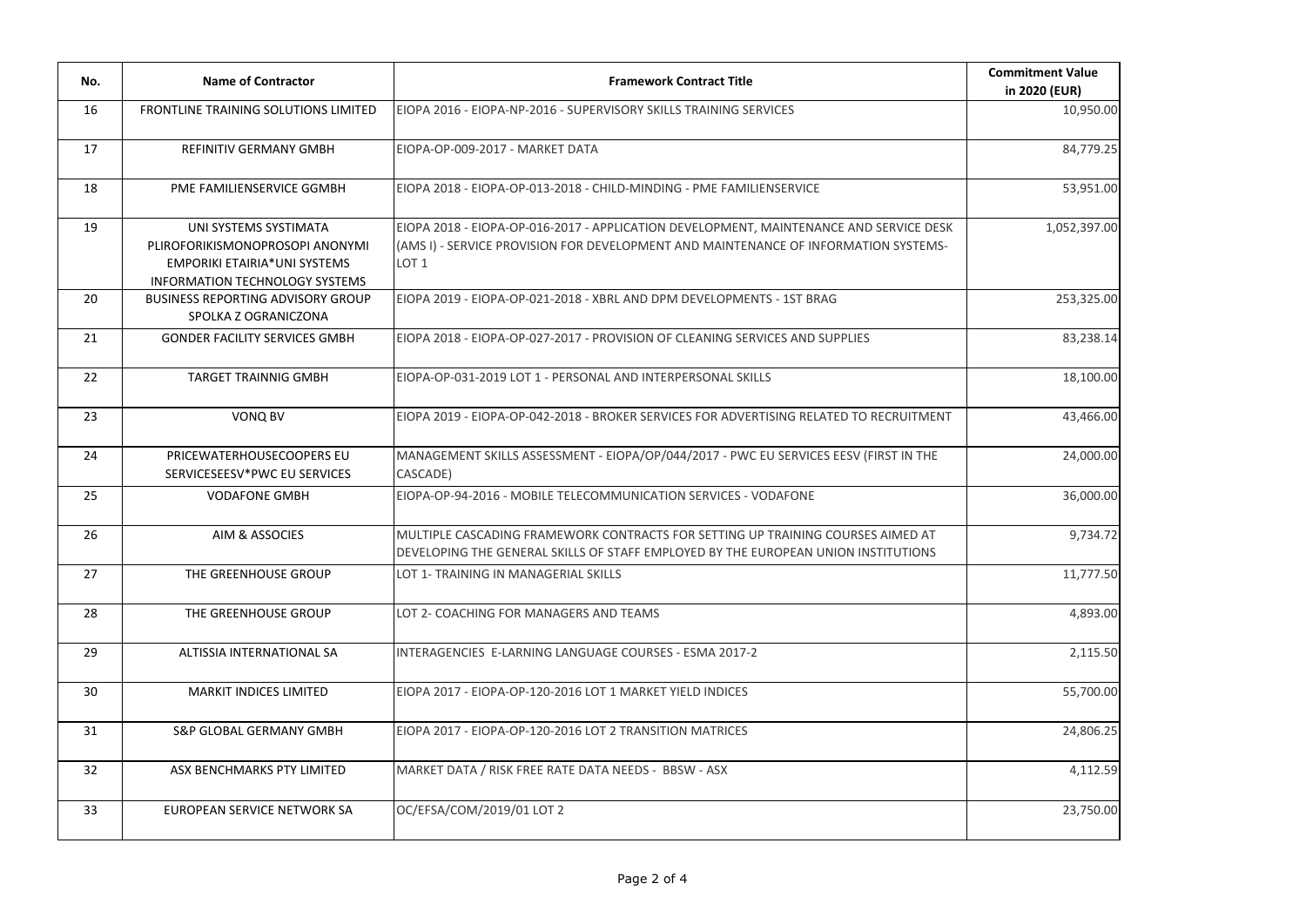| No. | <b>Name of Contractor</b>                                                                                                         | <b>Framework Contract Title</b>                                                                                                                                                                   | <b>Commitment Value</b><br>in 2020 (EUR) |
|-----|-----------------------------------------------------------------------------------------------------------------------------------|---------------------------------------------------------------------------------------------------------------------------------------------------------------------------------------------------|------------------------------------------|
| 16  | FRONTLINE TRAINING SOLUTIONS LIMITED                                                                                              | EIOPA 2016 - EIOPA-NP-2016 - SUPERVISORY SKILLS TRAINING SERVICES                                                                                                                                 | 10,950.00                                |
| 17  | <b>REFINITIV GERMANY GMBH</b>                                                                                                     | EIOPA-OP-009-2017 - MARKET DATA                                                                                                                                                                   | 84,779.25                                |
| 18  | PME FAMILIENSERVICE GGMBH                                                                                                         | EIOPA 2018 - EIOPA-OP-013-2018 - CHILD-MINDING - PME FAMILIENSERVICE                                                                                                                              | 53,951.00                                |
| 19  | UNI SYSTEMS SYSTIMATA<br>PLIROFORIKISMONOPROSOPI ANONYMI<br><b>EMPORIKI ETAIRIA*UNI SYSTEMS</b><br>INFORMATION TECHNOLOGY SYSTEMS | EIOPA 2018 - EIOPA-OP-016-2017 - APPLICATION DEVELOPMENT, MAINTENANCE AND SERVICE DESK<br>(AMS I) - SERVICE PROVISION FOR DEVELOPMENT AND MAINTENANCE OF INFORMATION SYSTEMS-<br>LOT <sub>1</sub> | 1,052,397.00                             |
| 20  | <b>BUSINESS REPORTING ADVISORY GROUP</b><br>SPOLKA Z OGRANICZONA                                                                  | EIOPA 2019 - EIOPA-OP-021-2018 - XBRL AND DPM DEVELOPMENTS - 1ST BRAG                                                                                                                             | 253,325.00                               |
| 21  | <b>GONDER FACILITY SERVICES GMBH</b>                                                                                              | EIOPA 2018 - EIOPA-OP-027-2017 - PROVISION OF CLEANING SERVICES AND SUPPLIES                                                                                                                      | 83,238.14                                |
| 22  | <b>TARGET TRAINNIG GMBH</b>                                                                                                       | EIOPA-OP-031-2019 LOT 1 - PERSONAL AND INTERPERSONAL SKILLS                                                                                                                                       | 18,100.00                                |
| 23  | VONQ BV                                                                                                                           | EIOPA 2019 - EIOPA-OP-042-2018 - BROKER SERVICES FOR ADVERTISING RELATED TO RECRUITMENT                                                                                                           | 43,466.00                                |
| 24  | PRICEWATERHOUSECOOPERS EU<br>SERVICESEESV*PWC EU SERVICES                                                                         | MANAGEMENT SKILLS ASSESSMENT - EIOPA/OP/044/2017 - PWC EU SERVICES EESV (FIRST IN THE<br>CASCADE)                                                                                                 | 24,000.00                                |
| 25  | <b>VODAFONE GMBH</b>                                                                                                              | EIOPA-OP-94-2016 - MOBILE TELECOMMUNICATION SERVICES - VODAFONE                                                                                                                                   | 36,000.00                                |
| 26  | AIM & ASSOCIES                                                                                                                    | MULTIPLE CASCADING FRAMEWORK CONTRACTS FOR SETTING UP TRAINING COURSES AIMED AT<br>DEVELOPING THE GENERAL SKILLS OF STAFF EMPLOYED BY THE EUROPEAN UNION INSTITUTIONS                             | 9,734.72                                 |
| 27  | THE GREENHOUSE GROUP                                                                                                              | LOT 1- TRAINING IN MANAGERIAL SKILLS                                                                                                                                                              | 11,777.50                                |
| 28  | THE GREENHOUSE GROUP                                                                                                              | LOT 2- COACHING FOR MANAGERS AND TEAMS                                                                                                                                                            | 4,893.00                                 |
| 29  | ALTISSIA INTERNATIONAL SA                                                                                                         | INTERAGENCIES E-LARNING LANGUAGE COURSES - ESMA 2017-2                                                                                                                                            | 2,115.50                                 |
| 30  | <b>MARKIT INDICES LIMITED</b>                                                                                                     | EIOPA 2017 - EIOPA-OP-120-2016 LOT 1 MARKET YIELD INDICES                                                                                                                                         | 55,700.00                                |
| 31  | <b>S&amp;P GLOBAL GERMANY GMBH</b>                                                                                                | EIOPA 2017 - EIOPA-OP-120-2016 LOT 2 TRANSITION MATRICES                                                                                                                                          | 24,806.25                                |
| 32  | ASX BENCHMARKS PTY LIMITED                                                                                                        | MARKET DATA / RISK FREE RATE DATA NEEDS - BBSW - ASX                                                                                                                                              | 4,112.59                                 |
| 33  | EUROPEAN SERVICE NETWORK SA                                                                                                       | OC/EFSA/COM/2019/01 LOT 2                                                                                                                                                                         | 23,750.00                                |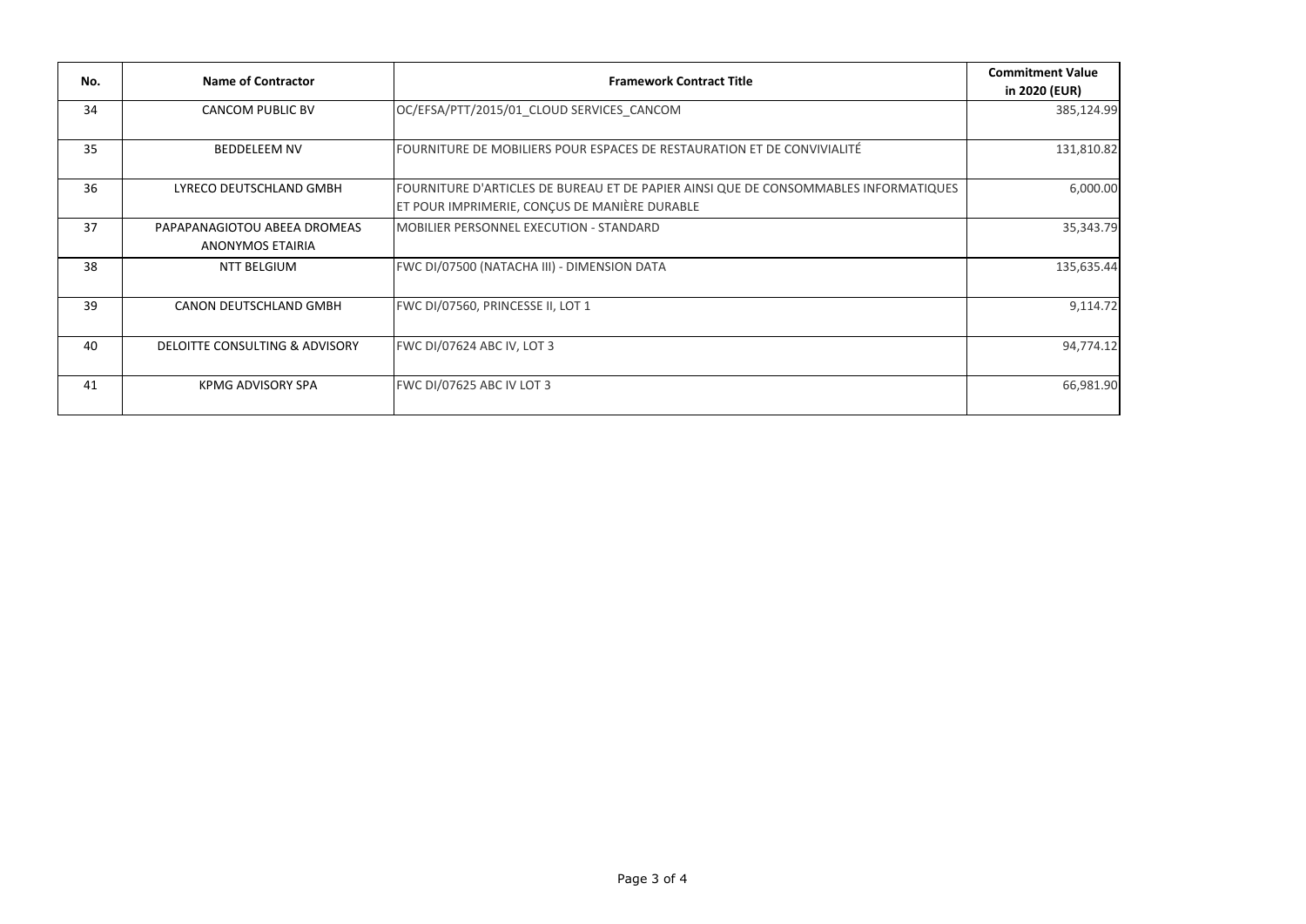| No. | Name of Contractor                               | <b>Framework Contract Title</b>                                                                                                       | <b>Commitment Value</b><br>in 2020 (EUR) |
|-----|--------------------------------------------------|---------------------------------------------------------------------------------------------------------------------------------------|------------------------------------------|
| 34  | <b>CANCOM PUBLIC BV</b>                          | OC/EFSA/PTT/2015/01 CLOUD SERVICES CANCOM                                                                                             | 385,124.99                               |
| 35  | <b>BEDDELEEM NV</b>                              | FOURNITURE DE MOBILIERS POUR ESPACES DE RESTAURATION ET DE CONVIVIALITÉ                                                               | 131,810.82                               |
| 36  | LYRECO DEUTSCHLAND GMBH                          | FOURNITURE D'ARTICLES DE BUREAU ET DE PAPIER AINSI QUE DE CONSOMMABLES INFORMATIQUES<br>ET POUR IMPRIMERIE, CONCUS DE MANIÈRE DURABLE | 6,000.00                                 |
| 37  | PAPAPANAGIOTOU ABEEA DROMEAS<br>ANONYMOS ETAIRIA | MOBILIER PERSONNEL EXECUTION - STANDARD                                                                                               | 35,343.79                                |
| 38  | <b>NTT BELGIUM</b>                               | FWC DI/07500 (NATACHA III) - DIMENSION DATA                                                                                           | 135,635.44                               |
| 39  | CANON DEUTSCHLAND GMBH                           | FWC DI/07560, PRINCESSE II, LOT 1                                                                                                     | 9,114.72                                 |
| 40  | DELOITTE CONSULTING & ADVISORY                   | FWC DI/07624 ABC IV, LOT 3                                                                                                            | 94,774.12                                |
| 41  | <b>KPMG ADVISORY SPA</b>                         | <b>FWC DI/07625 ABC IV LOT 3</b>                                                                                                      | 66,981.90                                |